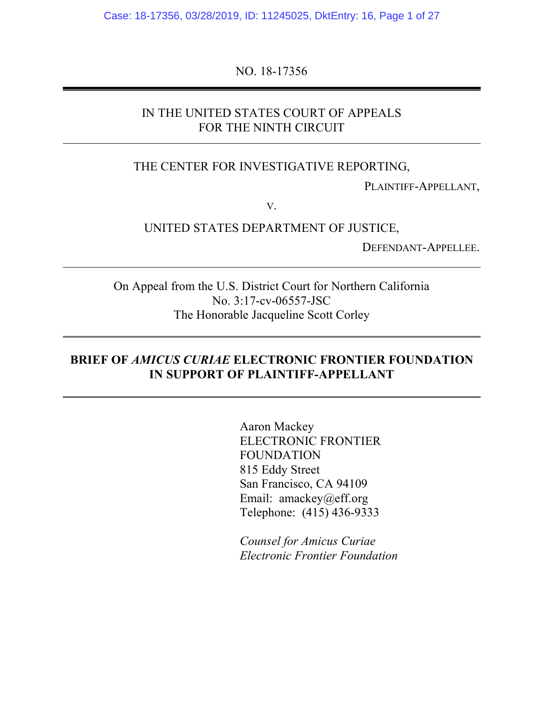Case: 18-17356, 03/28/2019, ID: 11245025, DktEntry: 16, Page 1 of 27

NO. 18-17356

# IN THE UNITED STATES COURT OF APPEALS FOR THE NINTH CIRCUIT

## THE CENTER FOR INVESTIGATIVE REPORTING,

PLAINTIFF-APPELLANT,

V.

## UNITED STATES DEPARTMENT OF JUSTICE,

DEFENDANT-APPELLEE.

On Appeal from the U.S. District Court for Northern California No. 3:17-cv-06557-JSC The Honorable Jacqueline Scott Corley

## **BRIEF OF** *AMICUS CURIAE* **ELECTRONIC FRONTIER FOUNDATION IN SUPPORT OF PLAINTIFF-APPELLANT**

Aaron Mackey ELECTRONIC FRONTIER FOUNDATION 815 Eddy Street San Francisco, CA 94109 Email: amackey@eff.org Telephone: (415) 436-9333

*Counsel for Amicus Curiae Electronic Frontier Foundation*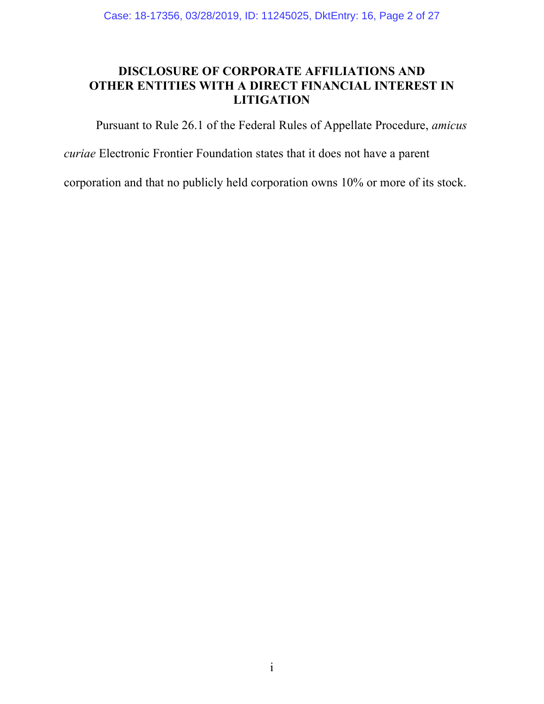## **DISCLOSURE OF CORPORATE AFFILIATIONS AND OTHER ENTITIES WITH A DIRECT FINANCIAL INTEREST IN LITIGATION**

Pursuant to Rule 26.1 of the Federal Rules of Appellate Procedure, *amicus* 

*curiae* Electronic Frontier Foundation states that it does not have a parent

corporation and that no publicly held corporation owns 10% or more of its stock.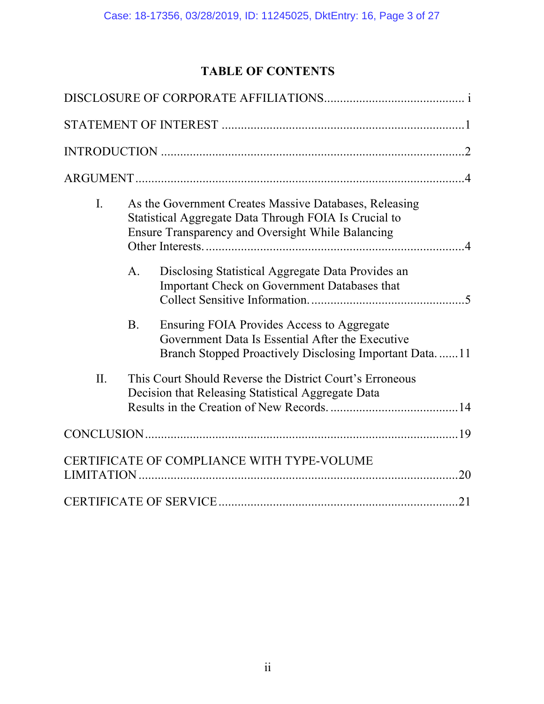# **TABLE OF CONTENTS**

| $I_{\cdot}$ |                | As the Government Creates Massive Databases, Releasing<br>Statistical Aggregate Data Through FOIA Is Crucial to<br>Ensure Transparency and Oversight While Balancing |
|-------------|----------------|----------------------------------------------------------------------------------------------------------------------------------------------------------------------|
|             | $\mathbf{A}$ . | Disclosing Statistical Aggregate Data Provides an<br>Important Check on Government Databases that                                                                    |
|             | <b>B.</b>      | Ensuring FOIA Provides Access to Aggregate<br>Government Data Is Essential After the Executive<br>Branch Stopped Proactively Disclosing Important Data11             |
| II.         |                | This Court Should Reverse the District Court's Erroneous<br>Decision that Releasing Statistical Aggregate Data                                                       |
|             |                |                                                                                                                                                                      |
|             |                | CERTIFICATE OF COMPLIANCE WITH TYPE-VOLUME<br>20                                                                                                                     |
|             |                |                                                                                                                                                                      |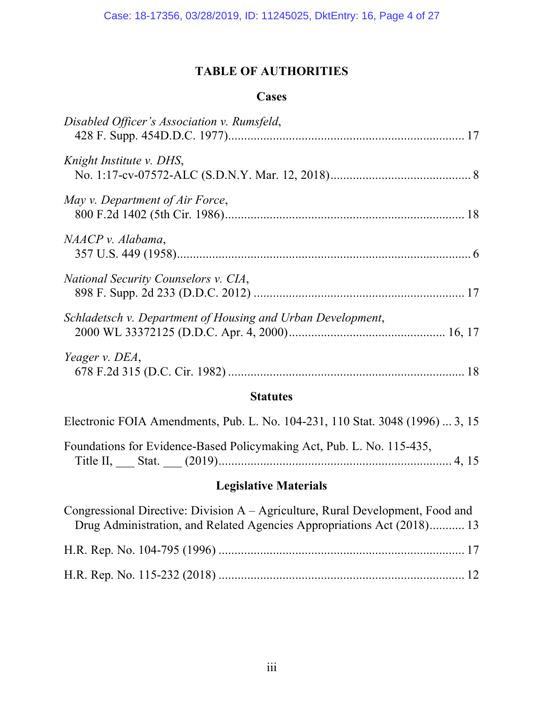# **TABLE OF AUTHORITIES**

# **Cases**

| <b>Statutes</b>                                             |  |
|-------------------------------------------------------------|--|
| Yeager v. DEA,                                              |  |
| Schladetsch v. Department of Housing and Urban Development, |  |
| <i>National Security Counselors v. CIA,</i>                 |  |
| NAACP v. Alabama,                                           |  |
| May v. Department of Air Force,                             |  |
| Knight Institute v. DHS,                                    |  |
| Disabled Officer's Association v. Rumsfeld,                 |  |

### **Statutes**

| Electronic FOIA Amendments, Pub. L. No. 104-231, 110 Stat. 3048 (1996)  3, 15 |  |
|-------------------------------------------------------------------------------|--|
| Foundations for Evidence-Based Policymaking Act, Pub. L. No. 115-435,         |  |
|                                                                               |  |

# **Legislative Materials**

| Congressional Directive: Division A – Agriculture, Rural Development, Food and |  |
|--------------------------------------------------------------------------------|--|
| Drug Administration, and Related Agencies Appropriations Act (2018) 13         |  |
|                                                                                |  |
|                                                                                |  |
|                                                                                |  |
|                                                                                |  |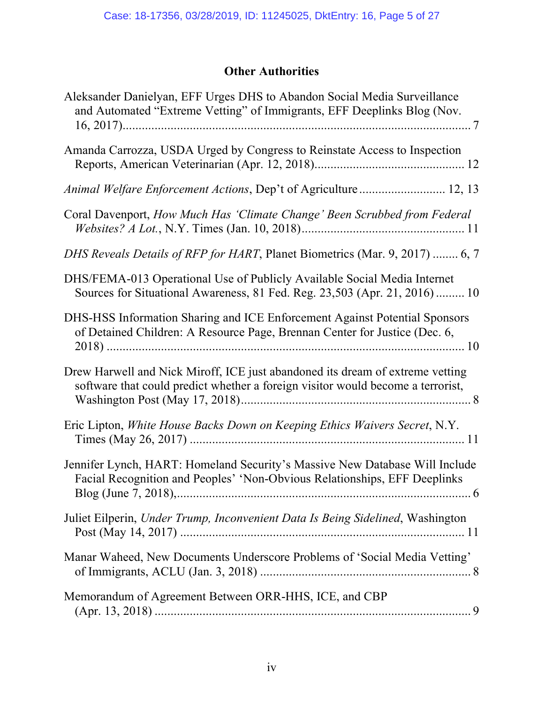# **Other Authorities**

| Aleksander Danielyan, EFF Urges DHS to Abandon Social Media Surveillance<br>and Automated "Extreme Vetting" of Immigrants, EFF Deeplinks Blog (Nov.              |
|------------------------------------------------------------------------------------------------------------------------------------------------------------------|
| Amanda Carrozza, USDA Urged by Congress to Reinstate Access to Inspection                                                                                        |
| Animal Welfare Enforcement Actions, Dep't of Agriculture  12, 13                                                                                                 |
| Coral Davenport, How Much Has 'Climate Change' Been Scrubbed from Federal                                                                                        |
| DHS Reveals Details of RFP for HART, Planet Biometrics (Mar. 9, 2017)  6, 7                                                                                      |
| DHS/FEMA-013 Operational Use of Publicly Available Social Media Internet<br>Sources for Situational Awareness, 81 Fed. Reg. 23,503 (Apr. 21, 2016) 10            |
| DHS-HSS Information Sharing and ICE Enforcement Against Potential Sponsors<br>of Detained Children: A Resource Page, Brennan Center for Justice (Dec. 6,         |
| Drew Harwell and Nick Miroff, ICE just abandoned its dream of extreme vetting<br>software that could predict whether a foreign visitor would become a terrorist, |
| Eric Lipton, White House Backs Down on Keeping Ethics Waivers Secret, N.Y.                                                                                       |
| Jennifer Lynch, HART: Homeland Security's Massive New Database Will Include<br>Facial Recognition and Peoples' 'Non-Obvious Relationships, EFF Deeplinks         |
| Juliet Eilperin, Under Trump, Inconvenient Data Is Being Sidelined, Washington                                                                                   |
| Manar Waheed, New Documents Underscore Problems of 'Social Media Vetting'                                                                                        |
| Memorandum of Agreement Between ORR-HHS, ICE, and CBP                                                                                                            |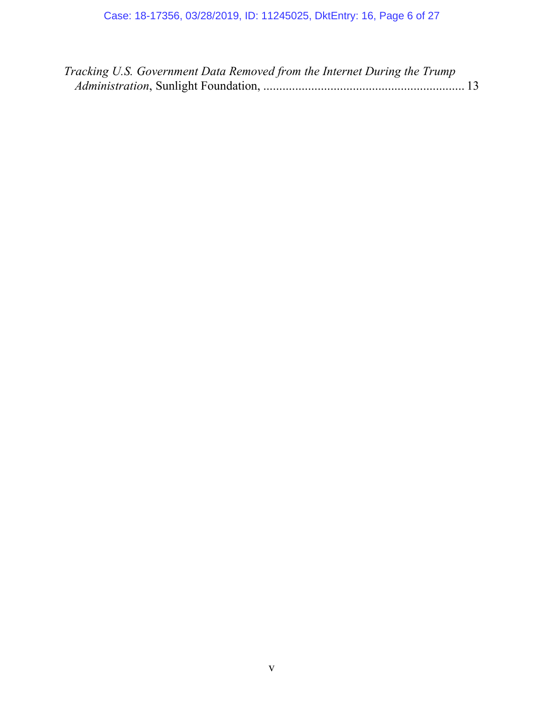| Tracking U.S. Government Data Removed from the Internet During the Trump |  |
|--------------------------------------------------------------------------|--|
|                                                                          |  |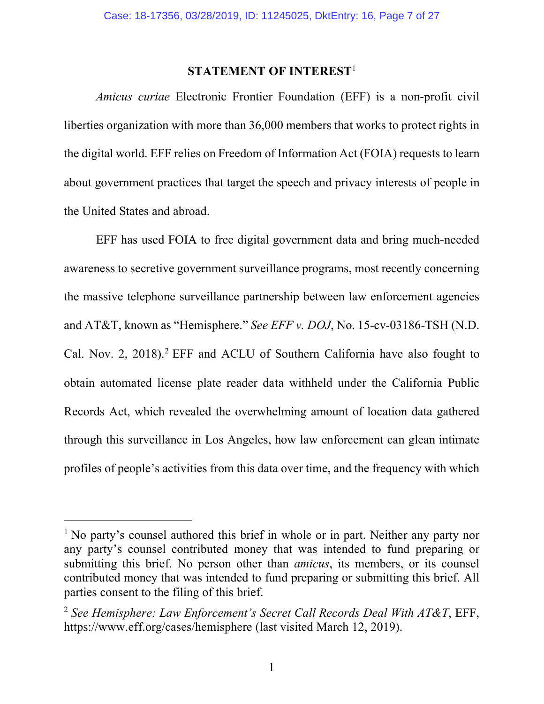## **STATEMENT OF INTEREST**<sup>1</sup>

*Amicus curiae* Electronic Frontier Foundation (EFF) is a non-profit civil liberties organization with more than 36,000 members that works to protect rights in the digital world. EFF relies on Freedom of Information Act (FOIA) requests to learn about government practices that target the speech and privacy interests of people in the United States and abroad.

EFF has used FOIA to free digital government data and bring much-needed awareness to secretive government surveillance programs, most recently concerning the massive telephone surveillance partnership between law enforcement agencies and AT&T, known as "Hemisphere." *See EFF v. DOJ*, No. 15-cv-03186-TSH (N.D. Cal. Nov. 2,  $2018$ ).<sup>2</sup> EFF and ACLU of Southern California have also fought to obtain automated license plate reader data withheld under the California Public Records Act, which revealed the overwhelming amount of location data gathered through this surveillance in Los Angeles, how law enforcement can glean intimate profiles of people's activities from this data over time, and the frequency with which

<sup>&</sup>lt;sup>1</sup> No party's counsel authored this brief in whole or in part. Neither any party nor any party's counsel contributed money that was intended to fund preparing or submitting this brief. No person other than *amicus*, its members, or its counsel contributed money that was intended to fund preparing or submitting this brief. All parties consent to the filing of this brief.

<sup>2</sup> *See Hemisphere: Law Enforcement's Secret Call Records Deal With AT&T*, EFF, https://www.eff.org/cases/hemisphere (last visited March 12, 2019).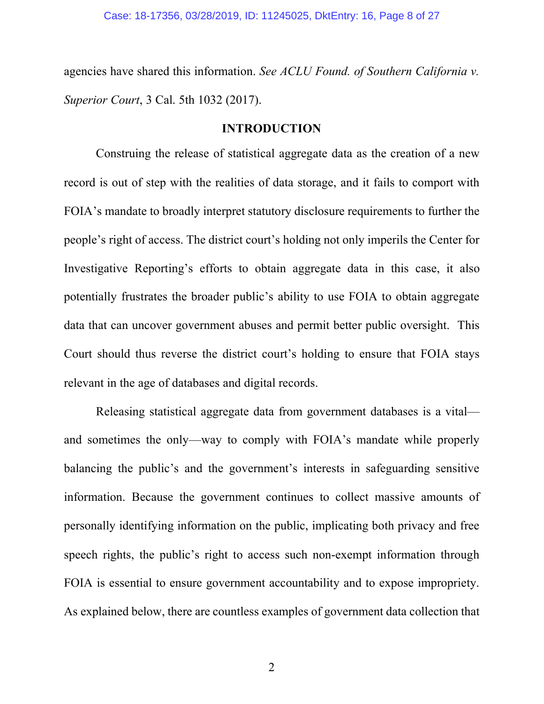agencies have shared this information. *See ACLU Found. of Southern California v. Superior Court*, 3 Cal. 5th 1032 (2017).

## **INTRODUCTION**

Construing the release of statistical aggregate data as the creation of a new record is out of step with the realities of data storage, and it fails to comport with FOIA's mandate to broadly interpret statutory disclosure requirements to further the people's right of access. The district court's holding not only imperils the Center for Investigative Reporting's efforts to obtain aggregate data in this case, it also potentially frustrates the broader public's ability to use FOIA to obtain aggregate data that can uncover government abuses and permit better public oversight. This Court should thus reverse the district court's holding to ensure that FOIA stays relevant in the age of databases and digital records.

Releasing statistical aggregate data from government databases is a vital and sometimes the only—way to comply with FOIA's mandate while properly balancing the public's and the government's interests in safeguarding sensitive information. Because the government continues to collect massive amounts of personally identifying information on the public, implicating both privacy and free speech rights, the public's right to access such non-exempt information through FOIA is essential to ensure government accountability and to expose impropriety. As explained below, there are countless examples of government data collection that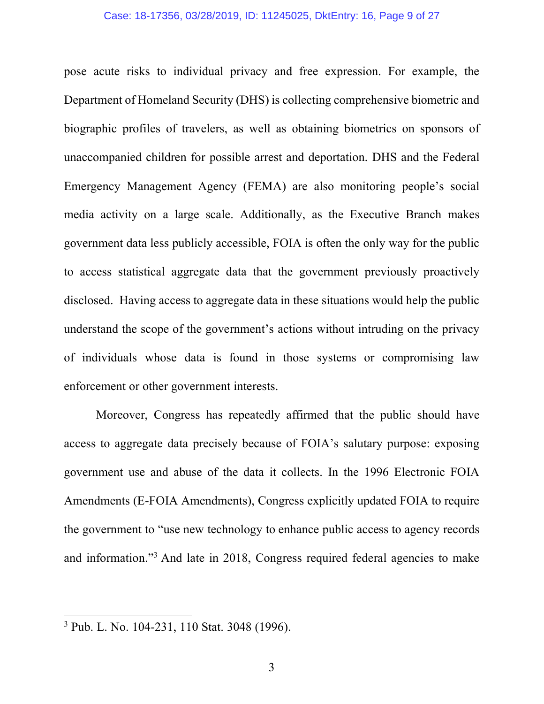#### Case: 18-17356, 03/28/2019, ID: 11245025, DktEntry: 16, Page 9 of 27

pose acute risks to individual privacy and free expression. For example, the Department of Homeland Security (DHS) is collecting comprehensive biometric and biographic profiles of travelers, as well as obtaining biometrics on sponsors of unaccompanied children for possible arrest and deportation. DHS and the Federal Emergency Management Agency (FEMA) are also monitoring people's social media activity on a large scale. Additionally, as the Executive Branch makes government data less publicly accessible, FOIA is often the only way for the public to access statistical aggregate data that the government previously proactively disclosed. Having access to aggregate data in these situations would help the public understand the scope of the government's actions without intruding on the privacy of individuals whose data is found in those systems or compromising law enforcement or other government interests.

Moreover, Congress has repeatedly affirmed that the public should have access to aggregate data precisely because of FOIA's salutary purpose: exposing government use and abuse of the data it collects. In the 1996 Electronic FOIA Amendments (E-FOIA Amendments), Congress explicitly updated FOIA to require the government to "use new technology to enhance public access to agency records and information."3 And late in 2018, Congress required federal agencies to make

<sup>3</sup> Pub. L. No. 104-231, 110 Stat. 3048 (1996).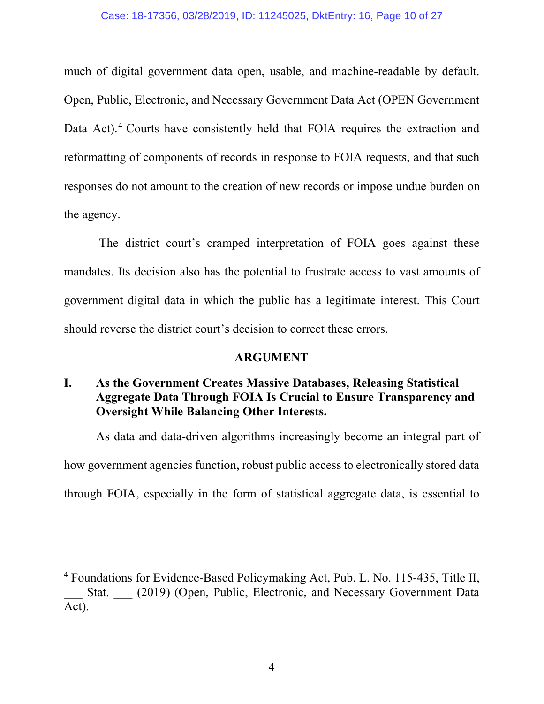### Case: 18-17356, 03/28/2019, ID: 11245025, DktEntry: 16, Page 10 of 27

much of digital government data open, usable, and machine-readable by default. Open, Public, Electronic, and Necessary Government Data Act (OPEN Government Data Act).<sup>4</sup> Courts have consistently held that FOIA requires the extraction and reformatting of components of records in response to FOIA requests, and that such responses do not amount to the creation of new records or impose undue burden on the agency.

The district court's cramped interpretation of FOIA goes against these mandates. Its decision also has the potential to frustrate access to vast amounts of government digital data in which the public has a legitimate interest. This Court should reverse the district court's decision to correct these errors.

## **ARGUMENT**

# **I. As the Government Creates Massive Databases, Releasing Statistical Aggregate Data Through FOIA Is Crucial to Ensure Transparency and Oversight While Balancing Other Interests.**

As data and data-driven algorithms increasingly become an integral part of how government agencies function, robust public access to electronically stored data through FOIA, especially in the form of statistical aggregate data, is essential to

<sup>4</sup> Foundations for Evidence-Based Policymaking Act, Pub. L. No. 115-435, Title II, Stat. (2019) (Open, Public, Electronic, and Necessary Government Data Act).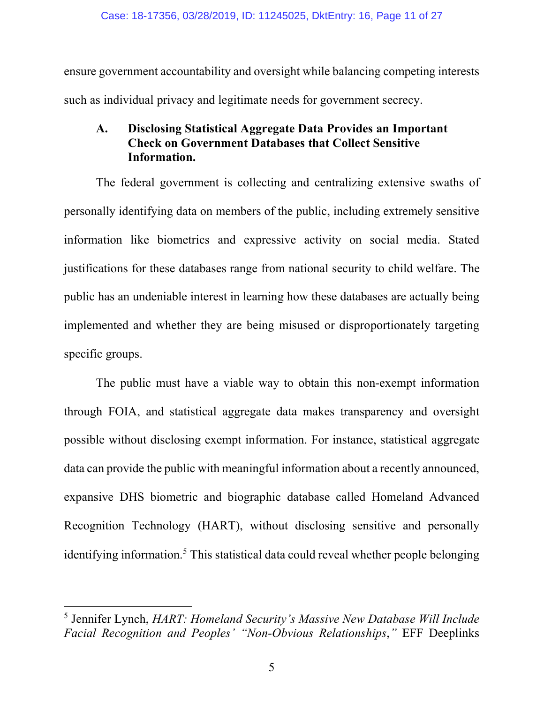ensure government accountability and oversight while balancing competing interests such as individual privacy and legitimate needs for government secrecy.

## **A. Disclosing Statistical Aggregate Data Provides an Important Check on Government Databases that Collect Sensitive Information.**

The federal government is collecting and centralizing extensive swaths of personally identifying data on members of the public, including extremely sensitive information like biometrics and expressive activity on social media. Stated justifications for these databases range from national security to child welfare. The public has an undeniable interest in learning how these databases are actually being implemented and whether they are being misused or disproportionately targeting specific groups.

The public must have a viable way to obtain this non-exempt information through FOIA, and statistical aggregate data makes transparency and oversight possible without disclosing exempt information. For instance, statistical aggregate data can provide the public with meaningful information about a recently announced, expansive DHS biometric and biographic database called Homeland Advanced Recognition Technology (HART), without disclosing sensitive and personally identifying information.<sup>5</sup> This statistical data could reveal whether people belonging

<sup>5</sup> Jennifer Lynch, *HART: Homeland Security's Massive New Database Will Include Facial Recognition and Peoples' "Non-Obvious Relationships*,*"* EFF Deeplinks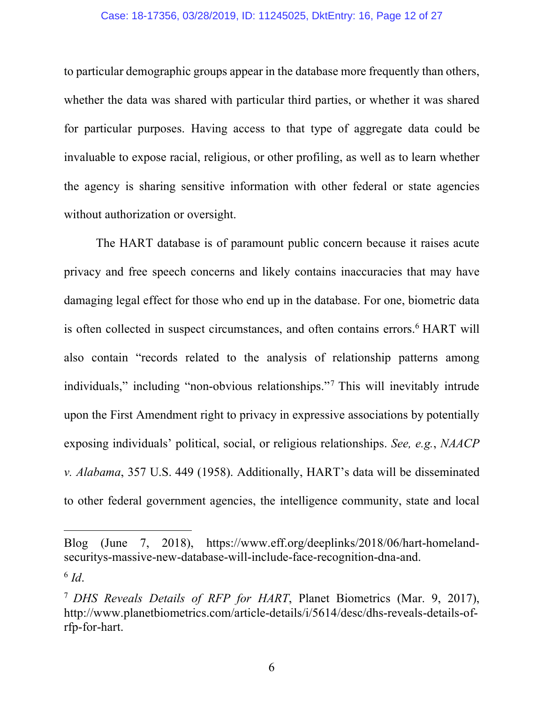### Case: 18-17356, 03/28/2019, ID: 11245025, DktEntry: 16, Page 12 of 27

to particular demographic groups appear in the database more frequently than others, whether the data was shared with particular third parties, or whether it was shared for particular purposes. Having access to that type of aggregate data could be invaluable to expose racial, religious, or other profiling, as well as to learn whether the agency is sharing sensitive information with other federal or state agencies without authorization or oversight.

The HART database is of paramount public concern because it raises acute privacy and free speech concerns and likely contains inaccuracies that may have damaging legal effect for those who end up in the database. For one, biometric data is often collected in suspect circumstances, and often contains errors. <sup>6</sup> HART will also contain "records related to the analysis of relationship patterns among individuals," including "non-obvious relationships."7 This will inevitably intrude upon the First Amendment right to privacy in expressive associations by potentially exposing individuals' political, social, or religious relationships. *See, e.g.*, *NAACP v. Alabama*, 357 U.S. 449 (1958). Additionally, HART's data will be disseminated to other federal government agencies, the intelligence community, state and local

Blog (June 7, 2018), https://www.eff.org/deeplinks/2018/06/hart-homelandsecuritys-massive-new-database-will-include-face-recognition-dna-and.

 $6$  *Id*.

<sup>7</sup> *DHS Reveals Details of RFP for HART*, Planet Biometrics (Mar. 9, 2017), http://www.planetbiometrics.com/article-details/i/5614/desc/dhs-reveals-details-ofrfp-for-hart.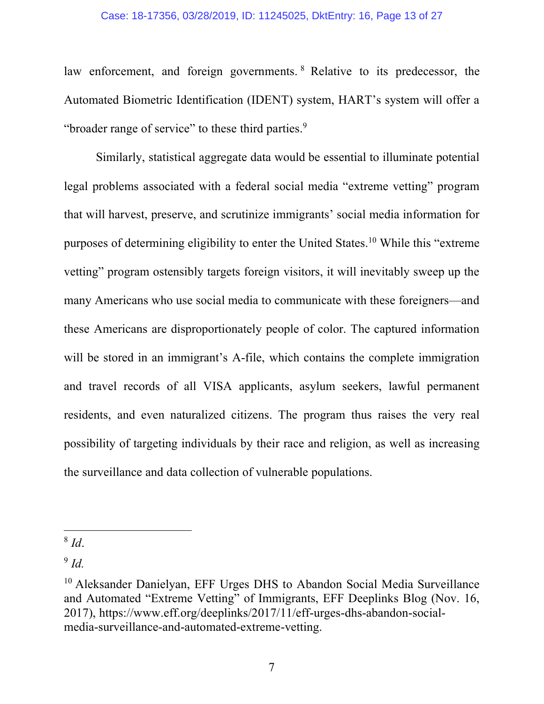### Case: 18-17356, 03/28/2019, ID: 11245025, DktEntry: 16, Page 13 of 27

law enforcement, and foreign governments. <sup>8</sup> Relative to its predecessor, the Automated Biometric Identification (IDENT) system, HART's system will offer a "broader range of service" to these third parties.<sup>9</sup>

Similarly, statistical aggregate data would be essential to illuminate potential legal problems associated with a federal social media "extreme vetting" program that will harvest, preserve, and scrutinize immigrants' social media information for purposes of determining eligibility to enter the United States.10 While this "extreme vetting" program ostensibly targets foreign visitors, it will inevitably sweep up the many Americans who use social media to communicate with these foreigners—and these Americans are disproportionately people of color. The captured information will be stored in an immigrant's A-file, which contains the complete immigration and travel records of all VISA applicants, asylum seekers, lawful permanent residents, and even naturalized citizens. The program thus raises the very real possibility of targeting individuals by their race and religion, as well as increasing the surveillance and data collection of vulnerable populations.

<sup>8</sup> *Id*.

<sup>9</sup> *Id.*

<sup>&</sup>lt;sup>10</sup> Aleksander Danielyan, EFF Urges DHS to Abandon Social Media Surveillance and Automated "Extreme Vetting" of Immigrants, EFF Deeplinks Blog (Nov. 16, 2017), https://www.eff.org/deeplinks/2017/11/eff-urges-dhs-abandon-socialmedia-surveillance-and-automated-extreme-vetting.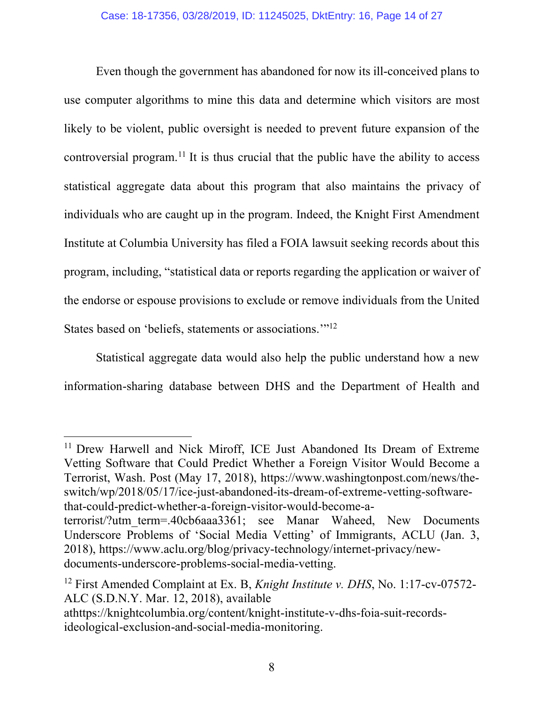Even though the government has abandoned for now its ill-conceived plans to use computer algorithms to mine this data and determine which visitors are most likely to be violent, public oversight is needed to prevent future expansion of the controversial program.<sup>11</sup> It is thus crucial that the public have the ability to access statistical aggregate data about this program that also maintains the privacy of individuals who are caught up in the program. Indeed, the Knight First Amendment Institute at Columbia University has filed a FOIA lawsuit seeking records about this program, including, "statistical data or reports regarding the application or waiver of the endorse or espouse provisions to exclude or remove individuals from the United States based on 'beliefs, statements or associations.'"12

Statistical aggregate data would also help the public understand how a new information-sharing database between DHS and the Department of Health and

<sup>11</sup> Drew Harwell and Nick Miroff, ICE Just Abandoned Its Dream of Extreme Vetting Software that Could Predict Whether a Foreign Visitor Would Become a Terrorist, Wash. Post (May 17, 2018), https://www.washingtonpost.com/news/theswitch/wp/2018/05/17/ice-just-abandoned-its-dream-of-extreme-vetting-softwarethat-could-predict-whether-a-foreign-visitor-would-become-aterrorist/?utm\_term=.40cb6aaa3361; see Manar Waheed, New Documents Underscore Problems of 'Social Media Vetting' of Immigrants, ACLU (Jan. 3,

<sup>2018),</sup> https://www.aclu.org/blog/privacy-technology/internet-privacy/newdocuments-underscore-problems-social-media-vetting.

<sup>12</sup> First Amended Complaint at Ex. B, *Knight Institute v. DHS*, No. 1:17-cv-07572- ALC (S.D.N.Y. Mar. 12, 2018), available

athttps://knightcolumbia.org/content/knight-institute-v-dhs-foia-suit-recordsideological-exclusion-and-social-media-monitoring.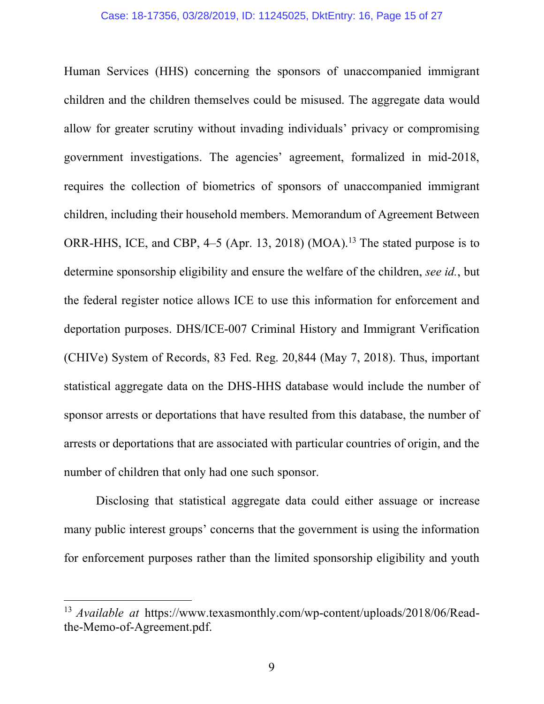Human Services (HHS) concerning the sponsors of unaccompanied immigrant children and the children themselves could be misused. The aggregate data would allow for greater scrutiny without invading individuals' privacy or compromising government investigations. The agencies' agreement, formalized in mid-2018, requires the collection of biometrics of sponsors of unaccompanied immigrant children, including their household members. Memorandum of Agreement Between ORR-HHS, ICE, and CBP,  $4-5$  (Apr. 13, 2018) (MOA).<sup>13</sup> The stated purpose is to determine sponsorship eligibility and ensure the welfare of the children, *see id.*, but the federal register notice allows ICE to use this information for enforcement and deportation purposes. DHS/ICE-007 Criminal History and Immigrant Verification (CHIVe) System of Records, 83 Fed. Reg. 20,844 (May 7, 2018). Thus, important statistical aggregate data on the DHS-HHS database would include the number of sponsor arrests or deportations that have resulted from this database, the number of arrests or deportations that are associated with particular countries of origin, and the number of children that only had one such sponsor.

Disclosing that statistical aggregate data could either assuage or increase many public interest groups' concerns that the government is using the information for enforcement purposes rather than the limited sponsorship eligibility and youth

<sup>13</sup> *Available at* https://www.texasmonthly.com/wp-content/uploads/2018/06/Readthe-Memo-of-Agreement.pdf.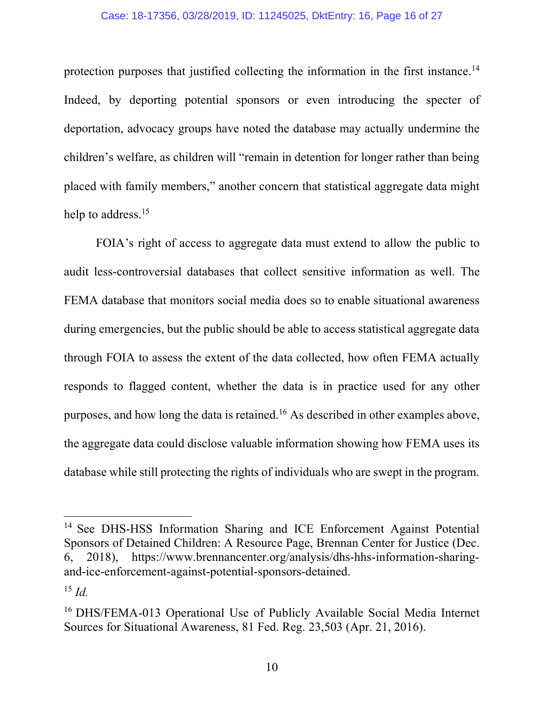### Case: 18-17356, 03/28/2019, ID: 11245025, DktEntry: 16, Page 16 of 27

protection purposes that justified collecting the information in the first instance.<sup>14</sup> Indeed, by deporting potential sponsors or even introducing the specter of deportation, advocacy groups have noted the database may actually undermine the children's welfare, as children will "remain in detention for longer rather than being placed with family members," another concern that statistical aggregate data might help to address.<sup>15</sup>

FOIA's right of access to aggregate data must extend to allow the public to audit less-controversial databases that collect sensitive information as well. The FEMA database that monitors social media does so to enable situational awareness during emergencies, but the public should be able to access statistical aggregate data through FOIA to assess the extent of the data collected, how often FEMA actually responds to flagged content, whether the data is in practice used for any other purposes, and how long the data is retained.16 As described in other examples above, the aggregate data could disclose valuable information showing how FEMA uses its database while still protecting the rights of individuals who are swept in the program.

<sup>14</sup> See DHS-HSS Information Sharing and ICE Enforcement Against Potential Sponsors of Detained Children: A Resource Page, Brennan Center for Justice (Dec. 6, 2018), https://www.brennancenter.org/analysis/dhs-hhs-information-sharingand-ice-enforcement-against-potential-sponsors-detained.

<sup>15</sup> *Id.*

<sup>16</sup> DHS/FEMA-013 Operational Use of Publicly Available Social Media Internet Sources for Situational Awareness, 81 Fed. Reg. 23,503 (Apr. 21, 2016).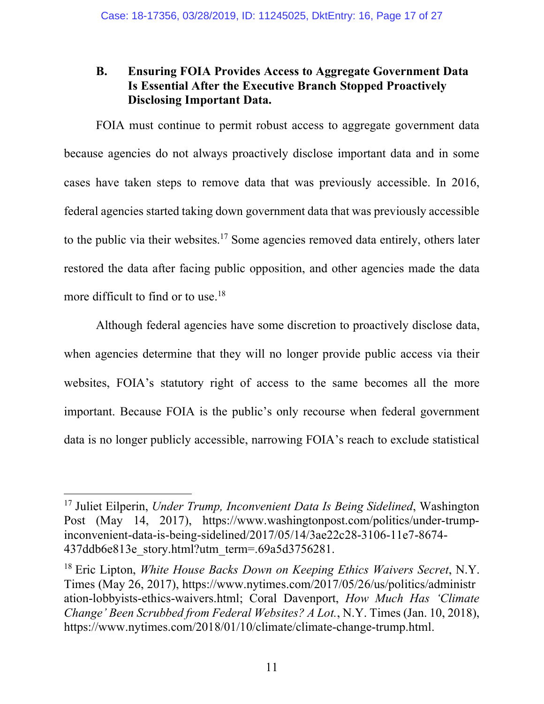# **B. Ensuring FOIA Provides Access to Aggregate Government Data Is Essential After the Executive Branch Stopped Proactively Disclosing Important Data.**

FOIA must continue to permit robust access to aggregate government data because agencies do not always proactively disclose important data and in some cases have taken steps to remove data that was previously accessible. In 2016, federal agencies started taking down government data that was previously accessible to the public via their websites.<sup>17</sup> Some agencies removed data entirely, others later restored the data after facing public opposition, and other agencies made the data more difficult to find or to use.<sup>18</sup>

Although federal agencies have some discretion to proactively disclose data, when agencies determine that they will no longer provide public access via their websites, FOIA's statutory right of access to the same becomes all the more important. Because FOIA is the public's only recourse when federal government data is no longer publicly accessible, narrowing FOIA's reach to exclude statistical

<sup>17</sup> Juliet Eilperin, *Under Trump, Inconvenient Data Is Being Sidelined*, Washington Post (May 14, 2017), https://www.washingtonpost.com/politics/under-trumpinconvenient-data-is-being-sidelined/2017/05/14/3ae22c28-3106-11e7-8674- 437ddb6e813e\_story.html?utm\_term=.69a5d3756281.

<sup>18</sup> Eric Lipton, *White House Backs Down on Keeping Ethics Waivers Secret*, N.Y. Times (May 26, 2017), https://www.nytimes.com/2017/05/26/us/politics/administr ation-lobbyists-ethics-waivers.html; Coral Davenport, *How Much Has 'Climate Change' Been Scrubbed from Federal Websites? A Lot.*, N.Y. Times (Jan. 10, 2018), https://www.nytimes.com/2018/01/10/climate/climate-change-trump.html.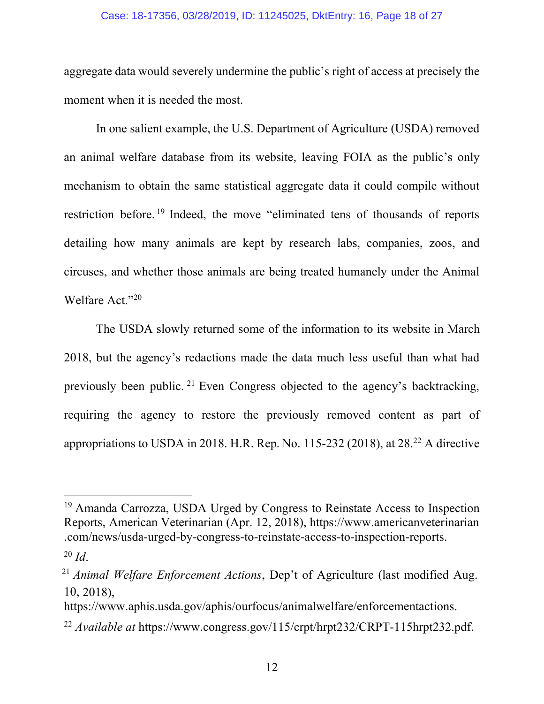### Case: 18-17356, 03/28/2019, ID: 11245025, DktEntry: 16, Page 18 of 27

aggregate data would severely undermine the public's right of access at precisely the moment when it is needed the most.

In one salient example, the U.S. Department of Agriculture (USDA) removed an animal welfare database from its website, leaving FOIA as the public's only mechanism to obtain the same statistical aggregate data it could compile without restriction before. 19 Indeed, the move "eliminated tens of thousands of reports detailing how many animals are kept by research labs, companies, zoos, and circuses, and whether those animals are being treated humanely under the Animal Welfare Act."20

The USDA slowly returned some of the information to its website in March 2018, but the agency's redactions made the data much less useful than what had previously been public. 21 Even Congress objected to the agency's backtracking, requiring the agency to restore the previously removed content as part of appropriations to USDA in 2018. H.R. Rep. No. 115-232 (2018), at  $28<sup>22</sup>$  A directive

<sup>19</sup> Amanda Carrozza, USDA Urged by Congress to Reinstate Access to Inspection Reports, American Veterinarian (Apr. 12, 2018), https://www.americanveterinarian .com/news/usda-urged-by-congress-to-reinstate-access-to-inspection-reports.

<sup>20</sup> *Id*.

<sup>21</sup> *Animal Welfare Enforcement Actions*, Dep't of Agriculture (last modified Aug. 10, 2018),

https://www.aphis.usda.gov/aphis/ourfocus/animalwelfare/enforcementactions.

<sup>22</sup> *Available at* https://www.congress.gov/115/crpt/hrpt232/CRPT-115hrpt232.pdf.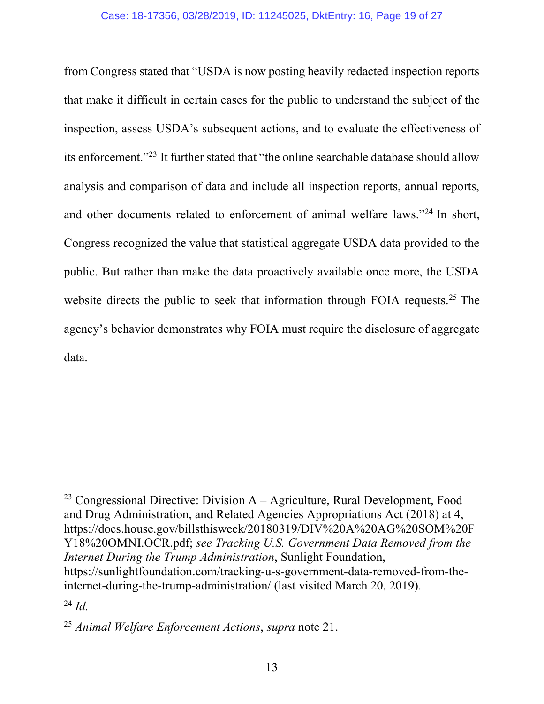from Congress stated that "USDA is now posting heavily redacted inspection reports that make it difficult in certain cases for the public to understand the subject of the inspection, assess USDA's subsequent actions, and to evaluate the effectiveness of its enforcement."23 It further stated that "the online searchable database should allow analysis and comparison of data and include all inspection reports, annual reports, and other documents related to enforcement of animal welfare laws."24 In short, Congress recognized the value that statistical aggregate USDA data provided to the public. But rather than make the data proactively available once more, the USDA website directs the public to seek that information through FOIA requests.<sup>25</sup> The agency's behavior demonstrates why FOIA must require the disclosure of aggregate data.

<sup>&</sup>lt;sup>23</sup> Congressional Directive: Division  $A -$ Agriculture, Rural Development, Food and Drug Administration, and Related Agencies Appropriations Act (2018) at 4, https://docs.house.gov/billsthisweek/20180319/DIV%20A%20AG%20SOM%20F Y18%20OMNI.OCR.pdf; *see Tracking U.S. Government Data Removed from the Internet During the Trump Administration*, Sunlight Foundation, https://sunlightfoundation.com/tracking-u-s-government-data-removed-from-theinternet-during-the-trump-administration/ (last visited March 20, 2019).

<sup>24</sup> *Id.*

<sup>25</sup> *Animal Welfare Enforcement Actions*, *supra* note 21.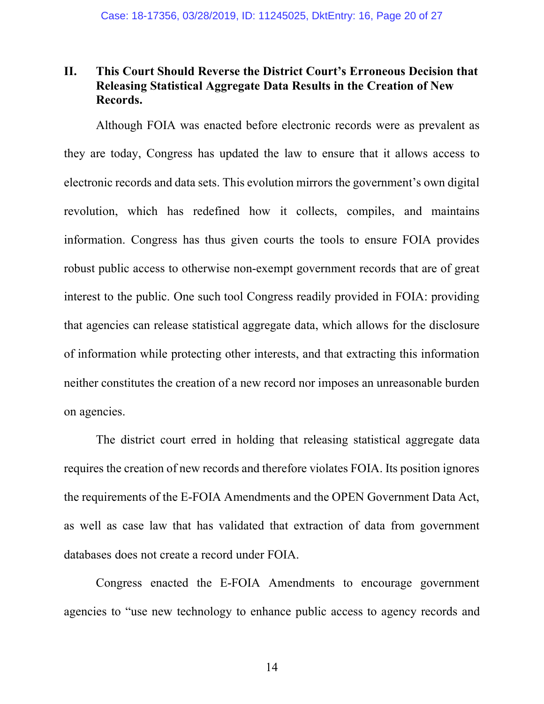# **II. This Court Should Reverse the District Court's Erroneous Decision that Releasing Statistical Aggregate Data Results in the Creation of New Records.**

Although FOIA was enacted before electronic records were as prevalent as they are today, Congress has updated the law to ensure that it allows access to electronic records and data sets. This evolution mirrors the government's own digital revolution, which has redefined how it collects, compiles, and maintains information. Congress has thus given courts the tools to ensure FOIA provides robust public access to otherwise non-exempt government records that are of great interest to the public. One such tool Congress readily provided in FOIA: providing that agencies can release statistical aggregate data, which allows for the disclosure of information while protecting other interests, and that extracting this information neither constitutes the creation of a new record nor imposes an unreasonable burden on agencies.

The district court erred in holding that releasing statistical aggregate data requires the creation of new records and therefore violates FOIA. Its position ignores the requirements of the E-FOIA Amendments and the OPEN Government Data Act, as well as case law that has validated that extraction of data from government databases does not create a record under FOIA.

Congress enacted the E-FOIA Amendments to encourage government agencies to "use new technology to enhance public access to agency records and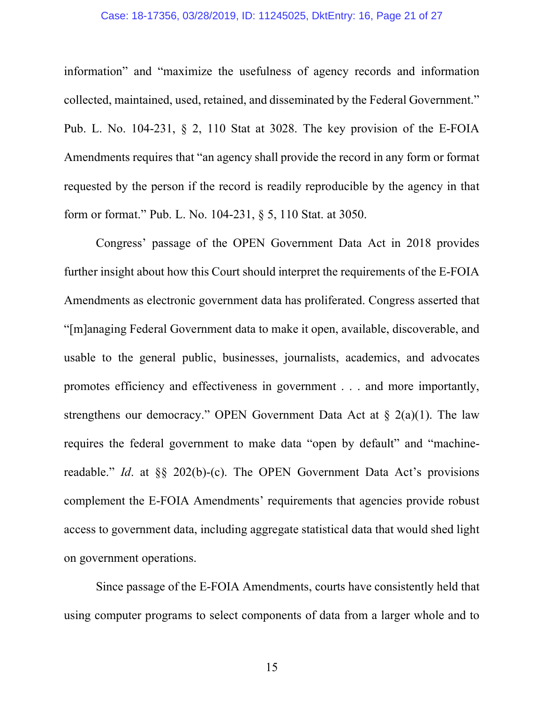#### Case: 18-17356, 03/28/2019, ID: 11245025, DktEntry: 16, Page 21 of 27

information" and "maximize the usefulness of agency records and information collected, maintained, used, retained, and disseminated by the Federal Government." Pub. L. No. 104-231, § 2, 110 Stat at 3028. The key provision of the E-FOIA Amendments requires that "an agency shall provide the record in any form or format requested by the person if the record is readily reproducible by the agency in that form or format." Pub. L. No. 104-231, § 5, 110 Stat. at 3050.

Congress' passage of the OPEN Government Data Act in 2018 provides further insight about how this Court should interpret the requirements of the E-FOIA Amendments as electronic government data has proliferated. Congress asserted that "[m]anaging Federal Government data to make it open, available, discoverable, and usable to the general public, businesses, journalists, academics, and advocates promotes efficiency and effectiveness in government . . . and more importantly, strengthens our democracy." OPEN Government Data Act at  $\S$  2(a)(1). The law requires the federal government to make data "open by default" and "machinereadable." *Id*. at §§ 202(b)-(c). The OPEN Government Data Act's provisions complement the E-FOIA Amendments' requirements that agencies provide robust access to government data, including aggregate statistical data that would shed light on government operations.

Since passage of the E-FOIA Amendments, courts have consistently held that using computer programs to select components of data from a larger whole and to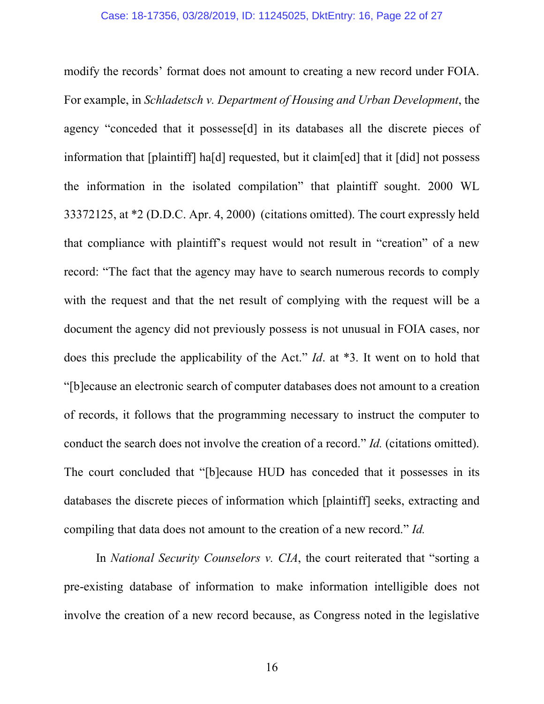modify the records' format does not amount to creating a new record under FOIA. For example, in *Schladetsch v. Department of Housing and Urban Development*, the agency "conceded that it possesse[d] in its databases all the discrete pieces of information that [plaintiff] ha[d] requested, but it claim[ed] that it [did] not possess the information in the isolated compilation" that plaintiff sought. 2000 WL 33372125, at \*2 (D.D.C. Apr. 4, 2000) (citations omitted). The court expressly held that compliance with plaintiff's request would not result in "creation" of a new record: "The fact that the agency may have to search numerous records to comply with the request and that the net result of complying with the request will be a document the agency did not previously possess is not unusual in FOIA cases, nor does this preclude the applicability of the Act." *Id*. at \*3. It went on to hold that "[b]ecause an electronic search of computer databases does not amount to a creation of records, it follows that the programming necessary to instruct the computer to conduct the search does not involve the creation of a record." *Id.* (citations omitted). The court concluded that "[b]ecause HUD has conceded that it possesses in its databases the discrete pieces of information which [plaintiff] seeks, extracting and compiling that data does not amount to the creation of a new record." *Id.*

In *National Security Counselors v. CIA*, the court reiterated that "sorting a pre-existing database of information to make information intelligible does not involve the creation of a new record because, as Congress noted in the legislative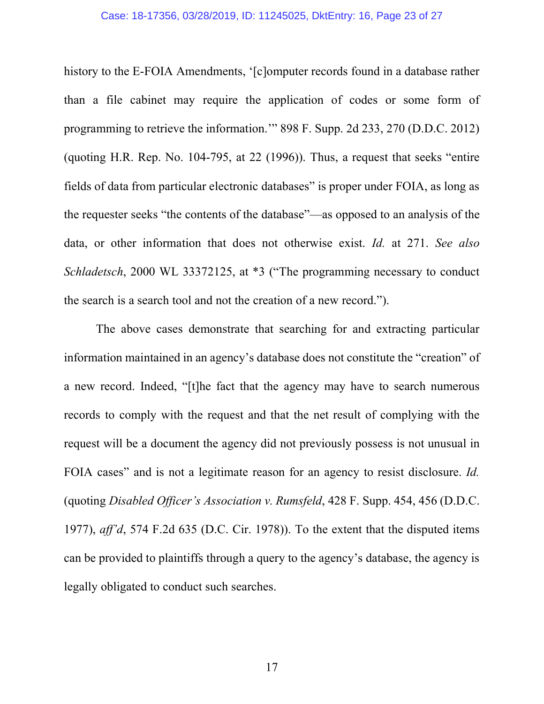#### Case: 18-17356, 03/28/2019, ID: 11245025, DktEntry: 16, Page 23 of 27

history to the E-FOIA Amendments, '[c]omputer records found in a database rather than a file cabinet may require the application of codes or some form of programming to retrieve the information.'" 898 F. Supp. 2d 233, 270 (D.D.C. 2012) (quoting H.R. Rep. No. 104-795, at 22 (1996)). Thus, a request that seeks "entire fields of data from particular electronic databases" is proper under FOIA, as long as the requester seeks "the contents of the database"—as opposed to an analysis of the data, or other information that does not otherwise exist. *Id.* at 271. *See also Schladetsch*, 2000 WL 33372125, at \*3 ("The programming necessary to conduct the search is a search tool and not the creation of a new record.").

The above cases demonstrate that searching for and extracting particular information maintained in an agency's database does not constitute the "creation" of a new record. Indeed, "[t]he fact that the agency may have to search numerous records to comply with the request and that the net result of complying with the request will be a document the agency did not previously possess is not unusual in FOIA cases" and is not a legitimate reason for an agency to resist disclosure. *Id.* (quoting *Disabled Officer's Association v. Rumsfeld*, 428 F. Supp. 454, 456 (D.D.C. 1977), *aff'd*, 574 F.2d 635 (D.C. Cir. 1978)). To the extent that the disputed items can be provided to plaintiffs through a query to the agency's database, the agency is legally obligated to conduct such searches.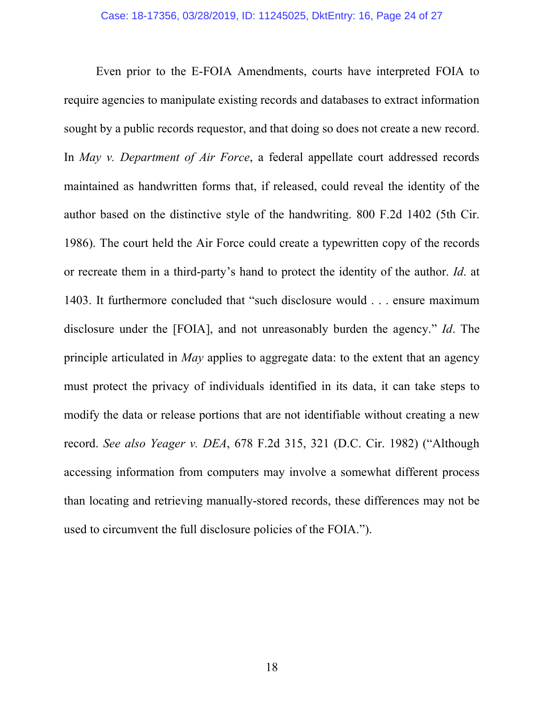Even prior to the E-FOIA Amendments, courts have interpreted FOIA to require agencies to manipulate existing records and databases to extract information sought by a public records requestor, and that doing so does not create a new record. In *May v. Department of Air Force*, a federal appellate court addressed records maintained as handwritten forms that, if released, could reveal the identity of the author based on the distinctive style of the handwriting. 800 F.2d 1402 (5th Cir. 1986). The court held the Air Force could create a typewritten copy of the records or recreate them in a third-party's hand to protect the identity of the author. *Id*. at 1403. It furthermore concluded that "such disclosure would . . . ensure maximum disclosure under the [FOIA], and not unreasonably burden the agency." *Id*. The principle articulated in *May* applies to aggregate data: to the extent that an agency must protect the privacy of individuals identified in its data, it can take steps to modify the data or release portions that are not identifiable without creating a new record. *See also Yeager v. DEA*, 678 F.2d 315, 321 (D.C. Cir. 1982) ("Although accessing information from computers may involve a somewhat different process than locating and retrieving manually-stored records, these differences may not be used to circumvent the full disclosure policies of the FOIA.").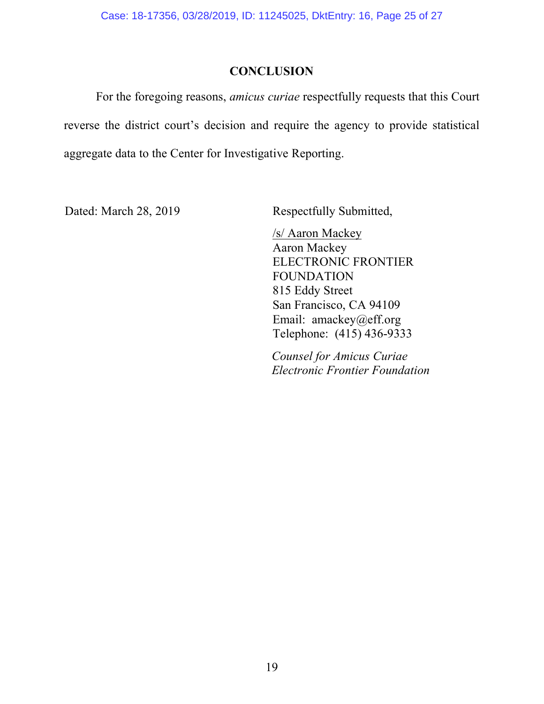## **CONCLUSION**

For the foregoing reasons, *amicus curiae* respectfully requests that this Court reverse the district court's decision and require the agency to provide statistical aggregate data to the Center for Investigative Reporting.

Dated: March 28, 2019 Respectfully Submitted,

/s/ Aaron Mackey Aaron Mackey ELECTRONIC FRONTIER FOUNDATION 815 Eddy Street San Francisco, CA 94109 Email: amackey@eff.org Telephone: (415) 436-9333

*Counsel for Amicus Curiae Electronic Frontier Foundation*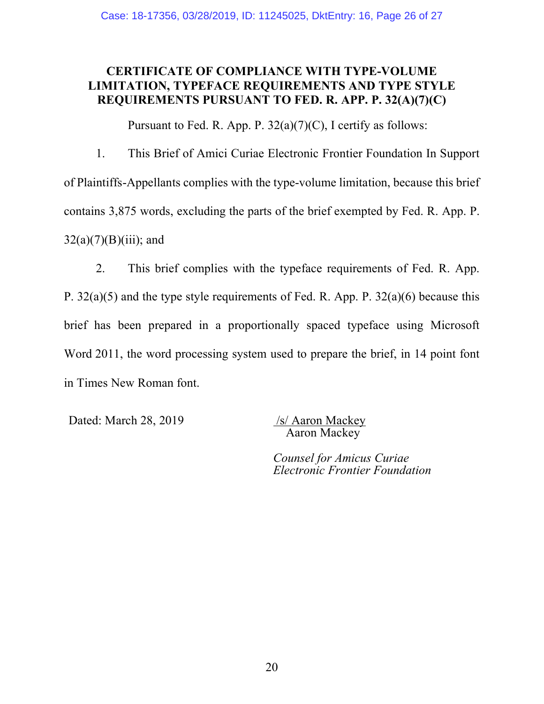## **CERTIFICATE OF COMPLIANCE WITH TYPE-VOLUME LIMITATION, TYPEFACE REQUIREMENTS AND TYPE STYLE REQUIREMENTS PURSUANT TO FED. R. APP. P. 32(A)(7)(C)**

Pursuant to Fed. R. App. P.  $32(a)(7)(C)$ , I certify as follows:

1. This Brief of Amici Curiae Electronic Frontier Foundation In Support of Plaintiffs-Appellants complies with the type-volume limitation, because this brief contains 3,875 words, excluding the parts of the brief exempted by Fed. R. App. P.  $32(a)(7)(B)(iii)$ ; and

2. This brief complies with the typeface requirements of Fed. R. App. P. 32(a)(5) and the type style requirements of Fed. R. App. P. 32(a)(6) because this brief has been prepared in a proportionally spaced typeface using Microsoft Word 2011, the word processing system used to prepare the brief, in 14 point font in Times New Roman font.

Dated: March 28, 2019 /s/ Aaron Mackey

Aaron Mackey

*Counsel for Amicus Curiae Electronic Frontier Foundation*